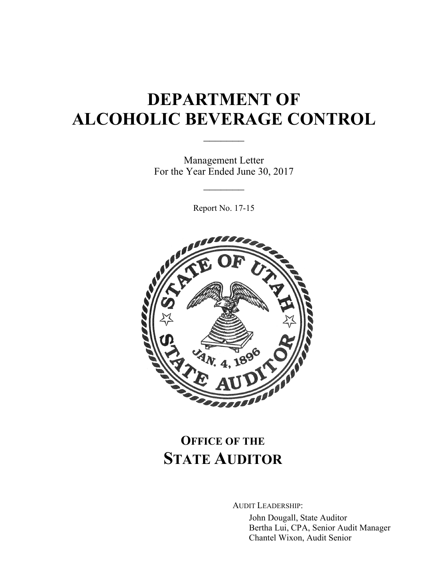# **DEPARTMENT OF ALCOHOLIC BEVERAGE CONTROL**

 $\mathcal{L}_\text{max}$ 

Management Letter For the Year Ended June 30, 2017

 $\frac{1}{2}$ 

Report No. 17-15



## **OFFICE OF THE STATE AUDITOR**

AUDIT LEADERSHIP:

John Dougall, State Auditor Bertha Lui, CPA, Senior Audit Manager Chantel Wixon, Audit Senior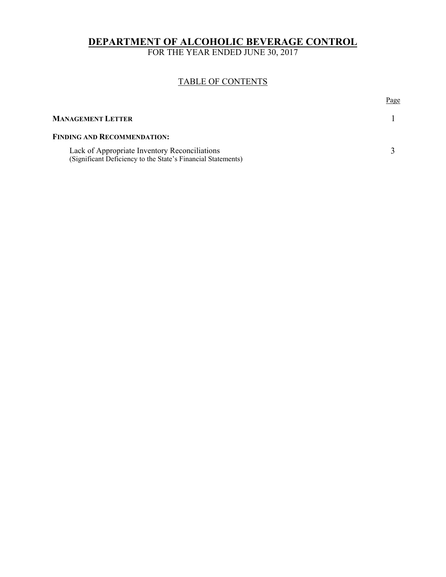#### **DEPARTMENT OF ALCOHOLIC BEVERAGE CONTROL**

FOR THE YEAR ENDED JUNE 30, 2017

#### TABLE OF CONTENTS

|                                                                                                               | Page |
|---------------------------------------------------------------------------------------------------------------|------|
| <b>MANAGEMENT LETTER</b>                                                                                      |      |
| <b>FINDING AND RECOMMENDATION:</b>                                                                            |      |
| Lack of Appropriate Inventory Reconciliations<br>(Significant Deficiency to the State's Financial Statements) |      |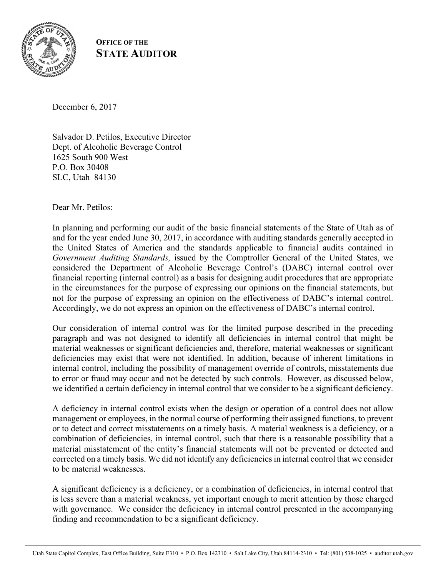

#### **OFFICE OF THE STATE AUDITOR**

December 6, 2017

Salvador D. Petilos, Executive Director Dept. of Alcoholic Beverage Control 1625 South 900 West P.O. Box 30408 SLC, Utah 84130

Dear Mr. Petilos:

In planning and performing our audit of the basic financial statements of the State of Utah as of and for the year ended June 30, 2017, in accordance with auditing standards generally accepted in the United States of America and the standards applicable to financial audits contained in *Government Auditing Standards,* issued by the Comptroller General of the United States, we considered the Department of Alcoholic Beverage Control's (DABC) internal control over financial reporting (internal control) as a basis for designing audit procedures that are appropriate in the circumstances for the purpose of expressing our opinions on the financial statements, but not for the purpose of expressing an opinion on the effectiveness of DABC's internal control. Accordingly, we do not express an opinion on the effectiveness of DABC's internal control.

Our consideration of internal control was for the limited purpose described in the preceding paragraph and was not designed to identify all deficiencies in internal control that might be material weaknesses or significant deficiencies and, therefore, material weaknesses or significant deficiencies may exist that were not identified. In addition, because of inherent limitations in internal control, including the possibility of management override of controls, misstatements due to error or fraud may occur and not be detected by such controls. However, as discussed below, we identified a certain deficiency in internal control that we consider to be a significant deficiency.

A deficiency in internal control exists when the design or operation of a control does not allow management or employees, in the normal course of performing their assigned functions, to prevent or to detect and correct misstatements on a timely basis. A material weakness is a deficiency, or a combination of deficiencies, in internal control, such that there is a reasonable possibility that a material misstatement of the entity's financial statements will not be prevented or detected and corrected on a timely basis. We did not identify any deficiencies in internal control that we consider to be material weaknesses.

A significant deficiency is a deficiency, or a combination of deficiencies, in internal control that is less severe than a material weakness, yet important enough to merit attention by those charged with governance. We consider the deficiency in internal control presented in the accompanying finding and recommendation to be a significant deficiency.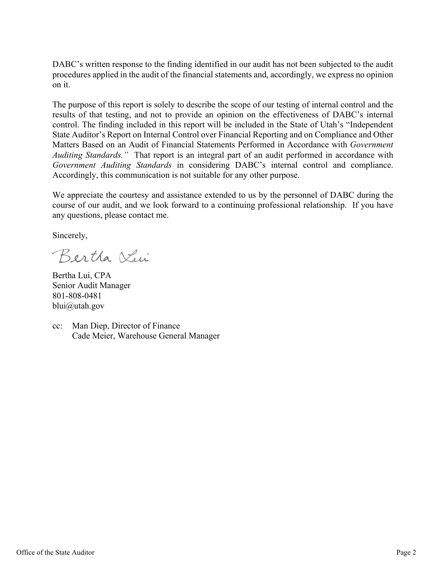DABC's written response to the finding identified in our audit has not been subjected to the audit procedures applied in the audit of the financial statements and, accordingly, we express no opinion on it.

The purpose of this report is solely to describe the scope of our testing of internal control and the results of that testing, and not to provide an opinion on the effectiveness of DABC's internal control. The finding included in this report will be included in the State of Utah's "Independent State Auditor's Report on Internal Control over Financial Reporting and on Compliance and Other Matters Based on an Audit of Financial Statements Performed in Accordance with *Government Auditing Standards."* That report is an integral part of an audit performed in accordance with *Government Auditing Standards* in considering DABC's internal control and compliance. Accordingly, this communication is not suitable for any other purpose.

We appreciate the courtesy and assistance extended to us by the personnel of DABC during the course of our audit, and we look forward to a continuing professional relationship. If you have any questions, please contact me.

Sincerely,

Bertha Vin

Bertha Lui, CPA Senior Audit Manager 801-808-0481 blui@utah.gov

cc: Man Diep, Director of Finance Cade Meier, Warehouse General Manager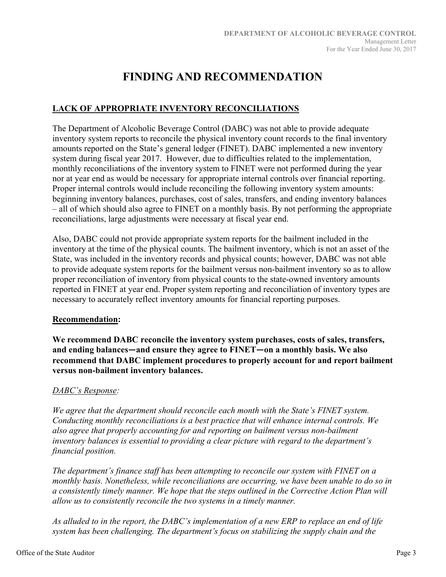### **FINDING AND RECOMMENDATION**

#### **LACK OF APPROPRIATE INVENTORY RECONCILIATIONS**

The Department of Alcoholic Beverage Control (DABC) was not able to provide adequate inventory system reports to reconcile the physical inventory count records to the final inventory amounts reported on the State's general ledger (FINET). DABC implemented a new inventory system during fiscal year 2017. However, due to difficulties related to the implementation, monthly reconciliations of the inventory system to FINET were not performed during the year nor at year end as would be necessary for appropriate internal controls over financial reporting. Proper internal controls would include reconciling the following inventory system amounts: beginning inventory balances, purchases, cost of sales, transfers, and ending inventory balances – all of which should also agree to FINET on a monthly basis. By not performing the appropriate reconciliations, large adjustments were necessary at fiscal year end.

Also, DABC could not provide appropriate system reports for the bailment included in the inventory at the time of the physical counts. The bailment inventory, which is not an asset of the State, was included in the inventory records and physical counts; however, DABC was not able to provide adequate system reports for the bailment versus non-bailment inventory so as to allow proper reconciliation of inventory from physical counts to the state-owned inventory amounts reported in FINET at year end. Proper system reporting and reconciliation of inventory types are necessary to accurately reflect inventory amounts for financial reporting purposes.

#### **Recommendation:**

**We recommend DABC reconcile the inventory system purchases, costs of sales, transfers, and ending balances―and ensure they agree to FINET―on a monthly basis. We also recommend that DABC implement procedures to properly account for and report bailment versus non‐bailment inventory balances.** 

#### *DABC's Response:*

*We agree that the department should reconcile each month with the State's FINET system. Conducting monthly reconciliations is a best practice that will enhance internal controls. We also agree that properly accounting for and reporting on bailment versus non-bailment inventory balances is essential to providing a clear picture with regard to the department's financial position.* 

*The department's finance staff has been attempting to reconcile our system with FINET on a monthly basis. Nonetheless, while reconciliations are occurring, we have been unable to do so in a consistently timely manner. We hope that the steps outlined in the Corrective Action Plan will allow us to consistently reconcile the two systems in a timely manner.* 

*As alluded to in the report, the DABC's implementation of a new ERP to replace an end of life system has been challenging. The department's focus on stabilizing the supply chain and the*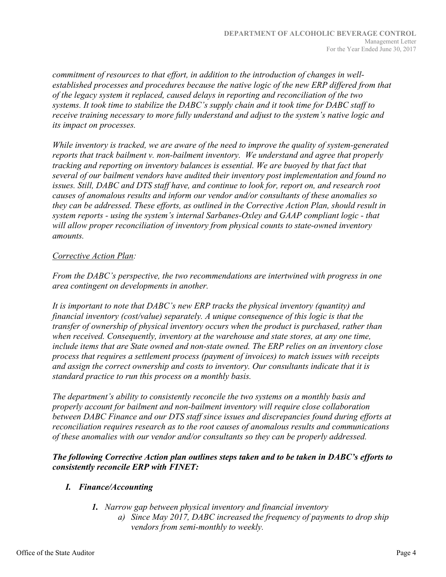*commitment of resources to that effort, in addition to the introduction of changes in wellestablished processes and procedures because the native logic of the new ERP differed from that of the legacy system it replaced, caused delays in reporting and reconciliation of the two systems. It took time to stabilize the DABC's supply chain and it took time for DABC staff to receive training necessary to more fully understand and adjust to the system's native logic and its impact on processes.* 

*While inventory is tracked, we are aware of the need to improve the quality of system-generated reports that track bailment v. non-bailment inventory. We understand and agree that properly tracking and reporting on inventory balances is essential. We are buoyed by that fact that several of our bailment vendors have audited their inventory post implementation and found no issues. Still, DABC and DTS staff have, and continue to look for, report on, and research root causes of anomalous results and inform our vendor and/or consultants of these anomalies so they can be addressed. These efforts, as outlined in the Corrective Action Plan, should result in system reports - using the system's internal Sarbanes-Oxley and GAAP compliant logic - that will allow proper reconciliation of inventory from physical counts to state-owned inventory amounts.* 

#### *Corrective Action Plan:*

*From the DABC's perspective, the two recommendations are intertwined with progress in one area contingent on developments in another.* 

*It is important to note that DABC's new ERP tracks the physical inventory (quantity) and financial inventory (cost/value) separately. A unique consequence of this logic is that the transfer of ownership of physical inventory occurs when the product is purchased, rather than when received. Consequently, inventory at the warehouse and state stores, at any one time, include items that are State owned and non-state owned. The ERP relies on an inventory close process that requires a settlement process (payment of invoices) to match issues with receipts and assign the correct ownership and costs to inventory. Our consultants indicate that it is standard practice to run this process on a monthly basis.* 

*The department's ability to consistently reconcile the two systems on a monthly basis and properly account for bailment and non-bailment inventory will require close collaboration between DABC Finance and our DTS staff since issues and discrepancies found during efforts at reconciliation requires research as to the root causes of anomalous results and communications of these anomalies with our vendor and/or consultants so they can be properly addressed.* 

*The following Corrective Action plan outlines steps taken and to be taken in DABC's efforts to consistently reconcile ERP with FINET:* 

#### *I. Finance/Accounting*

- *1. Narrow gap between physical inventory and financial inventory* 
	- *a) Since May 2017, DABC increased the frequency of payments to drop ship vendors from semi-monthly to weekly.*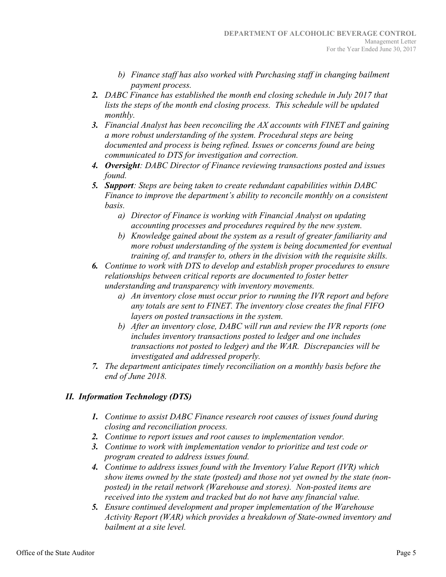- *b) Finance staff has also worked with Purchasing staff in changing bailment payment process.*
- *2. DABC Finance has established the month end closing schedule in July 2017 that lists the steps of the month end closing process. This schedule will be updated monthly.*
- *3. Financial Analyst has been reconciling the AX accounts with FINET and gaining a more robust understanding of the system. Procedural steps are being documented and process is being refined. Issues or concerns found are being communicated to DTS for investigation and correction.*
- *4. Oversight: DABC Director of Finance reviewing transactions posted and issues found.*
- *5. Support: Steps are being taken to create redundant capabilities within DABC Finance to improve the department's ability to reconcile monthly on a consistent basis.* 
	- *a) Director of Finance is working with Financial Analyst on updating accounting processes and procedures required by the new system.*
	- *b) Knowledge gained about the system as a result of greater familiarity and more robust understanding of the system is being documented for eventual training of, and transfer to, others in the division with the requisite skills.*
- *6. Continue to work with DTS to develop and establish proper procedures to ensure relationships between critical reports are documented to foster better understanding and transparency with inventory movements.* 
	- *a) An inventory close must occur prior to running the IVR report and before any totals are sent to FINET. The inventory close creates the final FIFO layers on posted transactions in the system.*
	- *b) After an inventory close, DABC will run and review the IVR reports (one includes inventory transactions posted to ledger and one includes transactions not posted to ledger) and the WAR. Discrepancies will be investigated and addressed properly.*
- *7. The department anticipates timely reconciliation on a monthly basis before the end of June 2018.*

#### *II. Information Technology (DTS)*

- *1. Continue to assist DABC Finance research root causes of issues found during closing and reconciliation process.*
- *2. Continue to report issues and root causes to implementation vendor.*
- *3. Continue to work with implementation vendor to prioritize and test code or program created to address issues found.*
- *4. Continue to address issues found with the Inventory Value Report (IVR) which show items owned by the state (posted) and those not yet owned by the state (nonposted) in the retail network (Warehouse and stores). Non-posted items are received into the system and tracked but do not have any financial value.*
- *5. Ensure continued development and proper implementation of the Warehouse Activity Report (WAR) which provides a breakdown of State-owned inventory and bailment at a site level.*